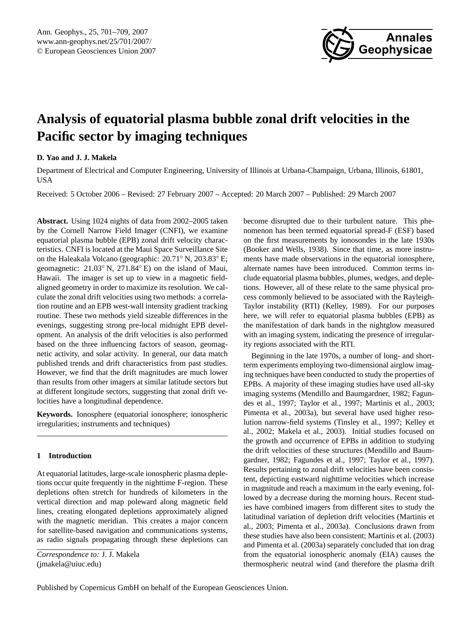

# <span id="page-0-0"></span>**Analysis of equatorial plasma bubble zonal drift velocities in the Pacific sector by imaging techniques**

# **D. Yao and J. J. Makela**

Department of Electrical and Computer Engineering, University of Illinois at Urbana-Champaign, Urbana, Illinois, 61801, USA

Received: 5 October 2006 – Revised: 27 February 2007 – Accepted: 20 March 2007 – Published: 29 March 2007

**Abstract.** Using 1024 nights of data from 2002–2005 taken by the Cornell Narrow Field Imager (CNFI), we examine equatorial plasma bubble (EPB) zonal drift velocity characteristics. CNFI is located at the Maui Space Surveillance Site on the Haleakala Volcano (geographic: 20.71◦ N, 203.83◦ E; geomagnetic: 21.03◦ N, 271.84◦ E) on the island of Maui, Hawaii. The imager is set up to view in a magnetic fieldaligned geometry in order to maximize its resolution. We calculate the zonal drift velocities using two methods: a correlation routine and an EPB west-wall intensity gradient tracking routine. These two methods yield sizeable differences in the evenings, suggesting strong pre-local midnight EPB development. An analysis of the drift velocities is also performed based on the three influencing factors of season, geomagnetic activity, and solar activity. In general, our data match published trends and drift characteristics from past studies. However, we find that the drift magnitudes are much lower than results from other imagers at similar latitude sectors but at different longitude sectors, suggesting that zonal drift velocities have a longitudinal dependence.

**Keywords.** Ionosphere (equatorial ionosphere; ionospheric irregularities; instruments and techniques)

# **1 Introduction**

At equatorial latitudes, large-scale ionospheric plasma depletions occur quite frequently in the nighttime F-region. These depletions often stretch for hundreds of kilometers in the vertical direction and map poleward along magnetic field lines, creating elongated depletions approximately aligned with the magnetic meridian. This creates a major concern for satellite-based navigation and communications systems, as radio signals propagating through these depletions can

*Correspondence to:* J. J. Makela (jmakela@uiuc.edu)

become disrupted due to their turbulent nature. This phenomenon has been termed equatorial spread-F (ESF) based on the first measurements by ionosondes in the late 1930s (Booker and Wells, 1938). Since that time, as more instruments have made observations in the equatorial ionosphere, alternate names have been introduced. Common terms include equatorial plasma bubbles, plumes, wedges, and depletions. However, all of these relate to the same physical process commonly believed to be associated with the Rayleigh-Taylor instability (RTI) (Kelley, 1989). For our purposes here, we will refer to equatorial plasma bubbles (EPB) as the manifestation of dark bands in the nightglow measured with an imaging system, indicating the presence of irregularity regions associated with the RTI.

Beginning in the late 1970s, a number of long- and shortterm experiments employing two-dimensional airglow imaging techniques have been conducted to study the properties of EPBs. A majority of these imaging studies have used all-sky imaging systems (Mendillo and Baumgardner, 1982; Fagundes et al., 1997; Taylor et al., 1997; Martinis et al., 2003; Pimenta et al., 2003a), but several have used higher resolution narrow-field systems (Tinsley et al., 1997; Kelley et al., 2002; Makela et al., 2003). Initial studies focused on the growth and occurrence of EPBs in addition to studying the drift velocities of these structures (Mendillo and Baumgardner, 1982; Fagundes et al., 1997; Taylor et al., 1997). Results pertaining to zonal drift velocities have been consistent, depicting eastward nighttime velocities which increase in magnitude and reach a maximum in the early evening, followed by a decrease during the morning hours. Recent studies have combined imagers from different sites to study the latitudinal variation of depletion drift velocities (Martinis et al., 2003; Pimenta et al., 2003a). Conclusions drawn from these studies have also been consistent; Martinis et al. (2003) and Pimenta et al. (2003a) separately concluded that ion drag from the equatorial ionospheric anomaly (EIA) causes the thermospheric neutral wind (and therefore the plasma drift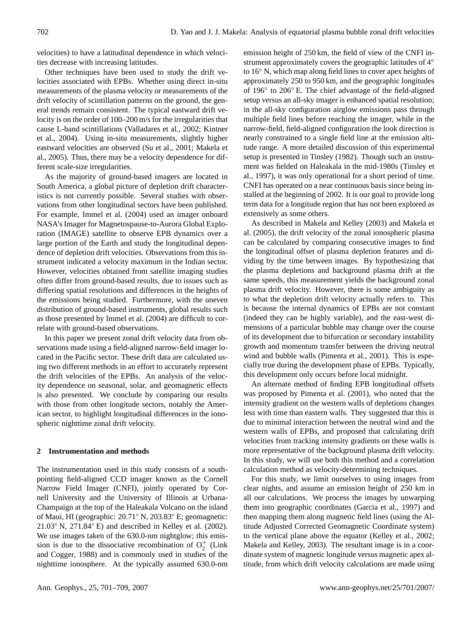velocities) to have a latitudinal dependence in which velocities decrease with increasing latitudes.

Other techniques have been used to study the drift velocities associated with EPBs. Whether using direct in-situ measurements of the plasma velocity or measurements of the drift velocity of scintillation patterns on the ground, the general trends remain consistent. The typical eastward drift velocity is on the order of 100–200 m/s for the irregularities that cause L-band scintillations (Valladares et al., 2002; Kintner et al., 2004). Using in-situ measurements, slightly higher eastward velocities are observed (Su et al., 2001; Makela et al., 2005). Thus, there may be a velocity dependence for different scale-size irregularities.

As the majority of ground-based imagers are located in South America, a global picture of depletion drift characteristics is not currently possible. Several studies with observations from other longitudinal sectors have been published. For example, Immel et al. (2004) used an imager onboard NASA's Imager for Magnetospause-to-Aurora Global Exploration (IMAGE) satellite to observe EPB dynamics over a large portion of the Earth and study the longitudinal dependence of depletion drift velocities. Observations from this instrument indicated a velocity maximum in the Indian sector. However, velocities obtained from satellite imaging studies often differ from ground-based results, due to issues such as differing spatial resolutions and differences in the heights of the emissions being studied. Furthermore, with the uneven distribution of ground-based instruments, global results such as those presented by Immel et al. (2004) are difficult to correlate with ground-based observations.

In this paper we present zonal drift velocity data from observations made using a field-aligned narrow-field imager located in the Pacific sector. These drift data are calculated using two different methods in an effort to accurately represent the drift velocities of the EPBs. An analysis of the velocity dependence on seasonal, solar, and geomagnetic effects is also presented. We conclude by comparing our results with those from other longitude sectors, notably the American sector, to highlight longitudinal differences in the ionospheric nighttime zonal drift velocity.

# **2 Instrumentation and methods**

The instrumentation used in this study consists of a southpointing field-aligned CCD imager known as the Cornell Narrow Field Imager (CNFI), jointly operated by Cornell University and the University of Illinois at Urbana-Champaign at the top of the Haleakala Volcano on the island of Maui, HI (geographic: 20.71◦ N, 203.83◦ E; geomagnetic:  $21.03°$  N,  $271.84°$  E) and described in Kelley et al. (2002). We use images taken of the 630.0-nm nightglow; this emission is due to the dissociative recombination of  $O_2^+$  (Link and Cogger, 1988) and is commonly used in studies of the nighttime ionosphere. At the typically assumed 630.0-nm emission height of 250 km, the field of view of the CNFI instrument approximately covers the geographic latitudes of 4<sup>°</sup> to 16◦ N, which map along field lines to cover apex heights of approximately 250 to 950 km, and the geographic longitudes of 196◦ to 206◦ E. The chief advantage of the field-aligned setup versus an all-sky imager is enhanced spatial resolution; in the all-sky configuration airglow emissions pass through multiple field lines before reaching the imager, while in the narrow-field, field-aligned configuration the look direction is nearly constrained to a single field line at the emission altitude range. A more detailed discussion of this experimental setup is presented in Tinsley (1982). Though such an instrument was fielded on Haleakala in the mid-1980s (Tinsley et al., 1997), it was only operational for a short period of time. CNFI has operated on a near continuous basis since being installed at the beginning of 2002. It is our goal to provide long term data for a longitude region that has not been explored as extensively as some others.

As described in Makela and Kelley (2003) and Makela et al. (2005), the drift velocity of the zonal ionospheric plasma can be calculated by comparing consecutive images to find the longitudinal offset of plasma depletion features and dividing by the time between images. By hypothesizing that the plasma depletions and background plasma drift at the same speeds, this measurement yields the background zonal plasma drift velocity. However, there is some ambiguity as to what the depletion drift velocity actually refers to. This is because the internal dynamics of EPBs are not constant (indeed they can be highly variable), and the east-west dimensions of a particular bubble may change over the course of its development due to bifurcation or secondary instability growth and momentum transfer between the driving neutral wind and bubble walls (Pimenta et al., 2001). This is especially true during the development phase of EPBs. Typically, this development only occurs before local midnight.

An alternate method of finding EPB longitudinal offsets was proposed by Pimenta et al. (2001), who noted that the intensity gradient on the western walls of depletions changes less with time than eastern walls. They suggested that this is due to minimal interaction between the neutral wind and the western walls of EPBs, and proposed that calculating drift velocities from tracking intensity gradients on these walls is more representative of the background plasma drift velocity. In this study, we will use both this method and a correlation calculation method as velocity-determining techniques.

For this study, we limit ourselves to using images from clear nights, and assume an emission height of 250 km in all our calculations. We process the images by unwarping them into geographic coordinates (Garcia et al., 1997) and then mapping them along magnetic field lines (using the Altitude Adjusted Corrected Geomagnetic Coordinate system) to the vertical plane above the equator (Kelley et al., 2002; Makela and Kelley, 2003). The resultant image is in a coordinate system of magnetic longitude versus magnetic apex altitude, from which drift velocity calculations are made using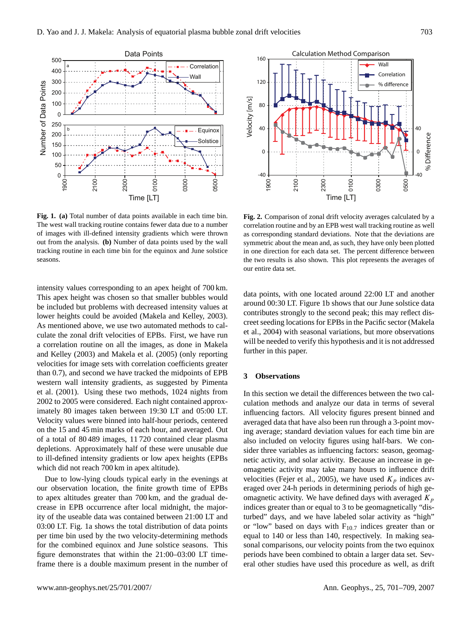

**Fig. 1. (a)** Total number of data points available in each time bin. The west wall tracking routine contains fewer data due to a number of images with ill-defined intensity gradients which were thrown out from the analysis. **(b)** Number of data points used by the wall tracking routine in each time bin for the equinox and June solstice seasons.

intensity values corresponding to an apex height of 700 km. This apex height was chosen so that smaller bubbles would be included but problems with decreased intensity values at lower heights could be avoided (Makela and Kelley, 2003). As mentioned above, we use two automated methods to calculate the zonal drift velocities of EPBs. First, we have run a correlation routine on all the images, as done in Makela and Kelley (2003) and Makela et al. (2005) (only reporting velocities for image sets with correlation coefficients greater than 0.7), and second we have tracked the midpoints of EPB western wall intensity gradients, as suggested by Pimenta et al. (2001). Using these two methods, 1024 nights from 2002 to 2005 were considered. Each night contained approximately 80 images taken between 19:30 LT and 05:00 LT. Velocity values were binned into half-hour periods, centered on the 15 and 45 min marks of each hour, and averaged. Out of a total of 80 489 images, 11 720 contained clear plasma depletions. Approximately half of these were unusable due to ill-defined intensity gradients or low apex heights (EPBs which did not reach 700 km in apex altitude).

Due to low-lying clouds typical early in the evenings at our observation location, the finite growth time of EPBs to apex altitudes greater than 700 km, and the gradual decrease in EPB occurrence after local midnight, the majority of the useable data was contained between 21:00 LT and 03:00 LT. Fig. 1a shows the total distribution of data points per time bin used by the two velocity-determining methods for the combined equinox and June solstice seasons. This figure demonstrates that within the 21:00–03:00 LT timeframe there is a double maximum present in the number of



**Fig. 2.** Comparison of zonal drift velocity averages calculated by a correlation routine and by an EPB west wall tracking routine as well as corresponding standard deviations. Note that the deviations are symmetric about the mean and, as such, they have only been plotted in one direction for each data set. The percent difference between the two results is also shown. This plot represents the averages of our entire data set.

data points, with one located around 22:00 LT and another around 00:30 LT. Figure 1b shows that our June solstice data contributes strongly to the second peak; this may reflect discreet seeding locations for EPBs in the Pacific sector (Makela et al., 2004) with seasonal variations, but more observations will be needed to verify this hypothesis and it is not addressed further in this paper.

# **3 Observations**

In this section we detail the differences between the two calculation methods and analyze our data in terms of several influencing factors. All velocity figures present binned and averaged data that have also been run through a 3-point moving average; standard deviation values for each time bin are also included on velocity figures using half-bars. We consider three variables as influencing factors: season, geomagnetic activity, and solar activity. Because an increase in geomagnetic activity may take many hours to influence drift velocities (Fejer et al., 2005), we have used  $K_p$  indices averaged over 24-h periods in determining periods of high geomagnetic activity. We have defined days with averaged  $K_p$ indices greater than or equal to 3 to be geomagnetically "disturbed" days, and we have labeled solar activity as "high" or "low" based on days with  $F_{10.7}$  indices greater than or equal to 140 or less than 140, respectively. In making seasonal comparisons, our velocity points from the two equinox periods have been combined to obtain a larger data set. Several other studies have used this procedure as well, as drift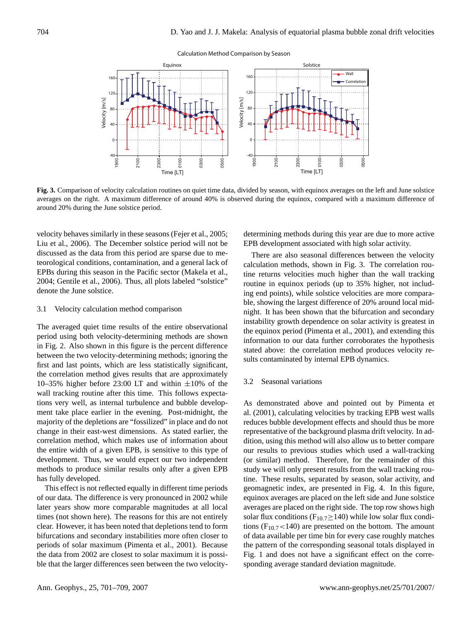#### Calculation Method Comparison by Season



**Fig. 3.** Comparison of velocity calculation routines on quiet time data, divided by season, with equinox averages on the left and June solstice averages on the right. A maximum difference of around 40% is observed during the equinox, compared with a maximum difference of around 20% during the June solstice period.

velocity behaves similarly in these seasons (Fejer et al., 2005; Liu et al., 2006). The December solstice period will not be discussed as the data from this period are sparse due to meteorological conditions, contamination, and a general lack of EPBs during this season in the Pacific sector (Makela et al., 2004; Gentile et al., 2006). Thus, all plots labeled "solstice" denote the June solstice.

#### 3.1 Velocity calculation method comparison

The averaged quiet time results of the entire observational period using both velocity-determining methods are shown in Fig. 2. Also shown in this figure is the percent difference between the two velocity-determining methods; ignoring the first and last points, which are less statistically significant, the correlation method gives results that are approximately 10–35% higher before 23:00 LT and within  $\pm 10$ % of the wall tracking routine after this time. This follows expectations very well, as internal turbulence and bubble development take place earlier in the evening. Post-midnight, the majority of the depletions are "fossilized" in place and do not change in their east-west dimensions. As stated earlier, the correlation method, which makes use of information about the entire width of a given EPB, is sensitive to this type of development. Thus, we would expect our two independent methods to produce similar results only after a given EPB has fully developed.

This effect is not reflected equally in different time periods of our data. The difference is very pronounced in 2002 while later years show more comparable magnitudes at all local times (not shown here). The reasons for this are not entirely clear. However, it has been noted that depletions tend to form bifurcations and secondary instabilities more often closer to periods of solar maximum (Pimenta et al., 2001). Because the data from 2002 are closest to solar maximum it is possible that the larger differences seen between the two velocity-

determining methods during this year are due to more active EPB development associated with high solar activity.

There are also seasonal differences between the velocity calculation methods, shown in Fig. 3. The correlation routine returns velocities much higher than the wall tracking routine in equinox periods (up to 35% higher, not including end points), while solstice velocities are more comparable, showing the largest difference of 20% around local midnight. It has been shown that the bifurcation and secondary instability growth dependence on solar activity is greatest in the equinox period (Pimenta et al., 2001), and extending this information to our data further corroborates the hypothesis stated above: the correlation method produces velocity results contaminated by internal EPB dynamics.

### 3.2 Seasonal variations

As demonstrated above and pointed out by Pimenta et al. (2001), calculating velocities by tracking EPB west walls reduces bubble development effects and should thus be more representative of the background plasma drift velocity. In addition, using this method will also allow us to better compare our results to previous studies which used a wall-tracking (or similar) method. Therefore, for the remainder of this study we will only present results from the wall tracking routine. These results, separated by season, solar activity, and geomagnetic index, are presented in Fig. 4. In this figure, equinox averages are placed on the left side and June solstice averages are placed on the right side. The top row shows high solar flux conditions ( $F_{10.7} \ge 140$ ) while low solar flux conditions ( $F_{10.7}$  < 140) are presented on the bottom. The amount of data available per time bin for every case roughly matches the pattern of the corresponding seasonal totals displayed in Fig. 1 and does not have a significant effect on the corresponding average standard deviation magnitude.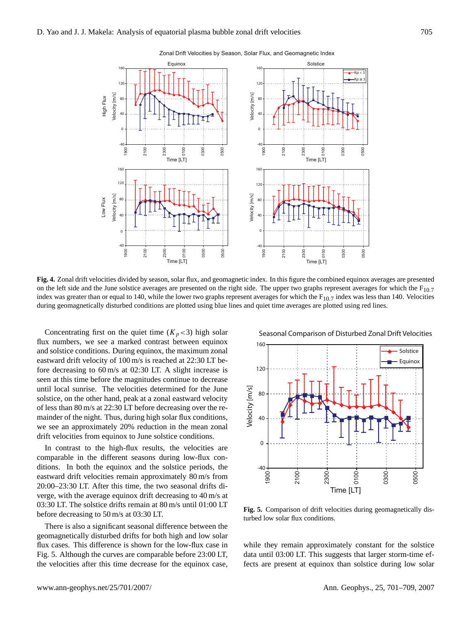

Zonal Drift Velocities by Season, Solar Flux, and Geomagnetic Index

**Fig. 4.** Zonal drift velocities divided by season, solar flux, and geomagnetic index. In this figure the combined equinox averages are presented on the left side and the June solstice averages are presented on the right side. The upper two graphs represent averages for which the  $F_{10.7}$ index was greater than or equal to 140, while the lower two graphs represent averages for which the  $F_{10.7}$  index was less than 140. Velocities during geomagnetically disturbed conditions are plotted using blue lines and quiet time averages are plotted using red lines.

Concentrating first on the quiet time  $(K_p < 3)$  high solar flux numbers, we see a marked contrast between equinox and solstice conditions. During equinox, the maximum zonal eastward drift velocity of 100 m/s is reached at 22:30 LT before decreasing to 60 m/s at 02:30 LT. A slight increase is seen at this time before the magnitudes continue to decrease until local sunrise. The velocities determined for the June solstice, on the other hand, peak at a zonal eastward velocity of less than 80 m/s at 22:30 LT before decreasing over the remainder of the night. Thus, during high solar flux conditions, we see an approximately 20% reduction in the mean zonal drift velocities from equinox to June solstice conditions.

In contrast to the high-flux results, the velocities are comparable in the different seasons during low-flux conditions. In both the equinox and the solstice periods, the eastward drift velocities remain approximately 80 m/s from 20:00–23:30 LT. After this time, the two seasonal drifts diverge, with the average equinox drift decreasing to 40 m/s at 03:30 LT. The solstice drifts remain at 80 m/s until 01:00 LT before decreasing to 50 m/s at 03:30 LT.

There is also a significant seasonal difference between the geomagnetically disturbed drifts for both high and low solar flux cases. This difference is shown for the low-flux case in Fig. 5. Although the curves are comparable before 23:00 LT, the velocities after this time decrease for the equinox case, Seasonal Comparison of Disturbed Zonal Drift Velocities



**Fig. 5.** Comparison of drift velocities during geomagnetically disturbed low solar flux conditions.

while they remain approximately constant for the solstice data until 03:00 LT. This suggests that larger storm-time effects are present at equinox than solstice during low solar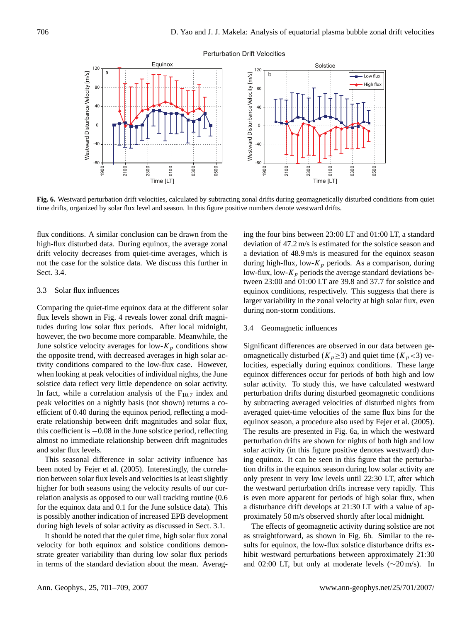

#### Perturbation Drift Velocities

Fig. 6. Westward perturbation drift velocities, calculated by subtracting zonal drifts during geomagnetically disturbed conditions from quiet time drifts, organized by solar flux level and season. In this figure positive numbers denote westward drifts.

flux conditions. A similar conclusion can be drawn from the high-flux disturbed data. During equinox, the average zonal drift velocity decreases from quiet-time averages, which is not the case for the solstice data. We discuss this further in Sect. 3.4.

#### 3.3 Solar flux influences

Comparing the quiet-time equinox data at the different solar flux levels shown in Fig. 4 reveals lower zonal drift magnitudes during low solar flux periods. After local midnight, however, the two become more comparable. Meanwhile, the June solstice velocity averages for low- $K_p$  conditions show the opposite trend, with decreased averages in high solar activity conditions compared to the low-flux case. However, when looking at peak velocities of individual nights, the June solstice data reflect very little dependence on solar activity. In fact, while a correlation analysis of the  $F_{10.7}$  index and peak velocities on a nightly basis (not shown) returns a coefficient of 0.40 during the equinox period, reflecting a moderate relationship between drift magnitudes and solar flux, this coefficient is −0.08 in the June solstice period, reflecting almost no immediate relationship between drift magnitudes and solar flux levels.

This seasonal difference in solar activity influence has been noted by Fejer et al. (2005). Interestingly, the correlation between solar flux levels and velocities is at least slightly higher for both seasons using the velocity results of our correlation analysis as opposed to our wall tracking routine (0.6 for the equinox data and 0.1 for the June solstice data). This is possibly another indication of increased EPB development during high levels of solar activity as discussed in Sect. 3.1.

It should be noted that the quiet time, high solar flux zonal velocity for both equinox and solstice conditions demonstrate greater variability than during low solar flux periods in terms of the standard deviation about the mean. Averaging the four bins between 23:00 LT and 01:00 LT, a standard deviation of 47.2 m/s is estimated for the solstice season and a deviation of 48.9 m/s is measured for the equinox season during high-flux, low- $K_p$  periods. As a comparison, during low-flux, low- $K_p$  periods the average standard deviations between 23:00 and 01:00 LT are 39.8 and 37.7 for solstice and equinox conditions, respectively. This suggests that there is larger variability in the zonal velocity at high solar flux, even during non-storm conditions.

### 3.4 Geomagnetic influences

Significant differences are observed in our data between geomagnetically disturbed ( $K_p \geq 3$ ) and quiet time ( $K_p < 3$ ) velocities, especially during equinox conditions. These large equinox differences occur for periods of both high and low solar activity. To study this, we have calculated westward perturbation drifts during disturbed geomagnetic conditions by subtracting averaged velocities of disturbed nights from averaged quiet-time velocities of the same flux bins for the equinox season, a procedure also used by Fejer et al. (2005). The results are presented in Fig. 6a, in which the westward perturbation drifts are shown for nights of both high and low solar activity (in this figure positive denotes westward) during equinox. It can be seen in this figure that the perturbation drifts in the equinox season during low solar activity are only present in very low levels until 22:30 LT, after which the westward perturbation drifts increase very rapidly. This is even more apparent for periods of high solar flux, when a disturbance drift develops at 21:30 LT with a value of approximately 50 m/s observed shortly after local midnight.

The effects of geomagnetic activity during solstice are not as straightforward, as shown in Fig. 6b. Similar to the results for equinox, the low-flux solstice disturbance drifts exhibit westward perturbations between approximately 21:30 and 02:00 LT, but only at moderate levels (∼20 m/s). In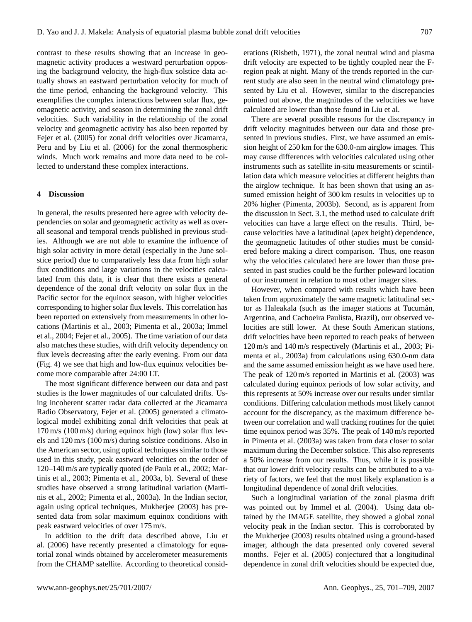contrast to these results showing that an increase in geomagnetic activity produces a westward perturbation opposing the background velocity, the high-flux solstice data actually shows an eastward perturbation velocity for much of the time period, enhancing the background velocity. This exemplifies the complex interactions between solar flux, geomagnetic activity, and season in determining the zonal drift velocities. Such variability in the relationship of the zonal velocity and geomagnetic activity has also been reported by Fejer et al. (2005) for zonal drift velocities over Jicamarca, Peru and by Liu et al. (2006) for the zonal thermospheric winds. Much work remains and more data need to be collected to understand these complex interactions.

# **4 Discussion**

In general, the results presented here agree with velocity dependencies on solar and geomagnetic activity as well as overall seasonal and temporal trends published in previous studies. Although we are not able to examine the influence of high solar activity in more detail (especially in the June solstice period) due to comparatively less data from high solar flux conditions and large variations in the velocities calculated from this data, it is clear that there exists a general dependence of the zonal drift velocity on solar flux in the Pacific sector for the equinox season, with higher velocities corresponding to higher solar flux levels. This correlation has been reported on extensively from measurements in other locations (Martinis et al., 2003; Pimenta et al., 2003a; Immel et al., 2004; Fejer et al., 2005). The time variation of our data also matches these studies, with drift velocity dependency on flux levels decreasing after the early evening. From our data (Fig. 4) we see that high and low-flux equinox velocities become more comparable after 24:00 LT.

The most significant difference between our data and past studies is the lower magnitudes of our calculated drifts. Using incoherent scatter radar data collected at the Jicamarca Radio Observatory, Fejer et al. (2005) generated a climatological model exhibiting zonal drift velocities that peak at 170 m/s (100 m/s) during equinox high (low) solar flux levels and 120 m/s (100 m/s) during solstice conditions. Also in the American sector, using optical techniques similar to those used in this study, peak eastward velocities on the order of 120–140 m/s are typically quoted (de Paula et al., 2002; Martinis et al., 2003; Pimenta et al., 2003a, b). Several of these studies have observed a strong latitudinal variation (Martinis et al., 2002; Pimenta et al., 2003a). In the Indian sector, again using optical techniques, Mukherjee (2003) has presented data from solar maximum equinox conditions with peak eastward velocities of over 175 m/s.

In addition to the drift data described above, Liu et al. (2006) have recently presented a climatology for equatorial zonal winds obtained by accelerometer measurements from the CHAMP satellite. According to theoretical considerations (Risbeth, 1971), the zonal neutral wind and plasma drift velocity are expected to be tightly coupled near the Fregion peak at night. Many of the trends reported in the current study are also seen in the neutral wind climatology presented by Liu et al. However, similar to the discrepancies pointed out above, the magnitudes of the velocities we have calculated are lower than those found in Liu et al.

There are several possible reasons for the discrepancy in drift velocity magnitudes between our data and those presented in previous studies. First, we have assumed an emission height of 250 km for the 630.0-nm airglow images. This may cause differences with velocities calculated using other instruments such as satellite in-situ measurements or scintillation data which measure velocities at different heights than the airglow technique. It has been shown that using an assumed emission height of 300 km results in velocities up to 20% higher (Pimenta, 2003b). Second, as is apparent from the discussion in Sect. 3.1, the method used to calculate drift velocities can have a large effect on the results. Third, because velocities have a latitudinal (apex height) dependence, the geomagnetic latitudes of other studies must be considered before making a direct comparison. Thus, one reason why the velocities calculated here are lower than those presented in past studies could be the further poleward location of our instrument in relation to most other imager sites.

However, when compared with results which have been taken from approximately the same magnetic latitudinal sector as Haleakala (such as the imager stations at Tucumán, Argentina, and Cachoeira Paulista, Brazil), our observed velocities are still lower. At these South American stations, drift velocities have been reported to reach peaks of between 120 m/s and 140 m/s respectively (Martinis et al., 2003; Pimenta et al., 2003a) from calculations using 630.0-nm data and the same assumed emission height as we have used here. The peak of 120 m/s reported in Martinis et al. (2003) was calculated during equinox periods of low solar activity, and this represents at 50% increase over our results under similar conditions. Differing calculation methods most likely cannot account for the discrepancy, as the maximum difference between our correlation and wall tracking routines for the quiet time equinox period was 35%. The peak of 140 m/s reported in Pimenta et al. (2003a) was taken from data closer to solar maximum during the December solstice. This also represents a 50% increase from our results. Thus, while it is possible that our lower drift velocity results can be attributed to a variety of factors, we feel that the most likely explanation is a longitudinal dependence of zonal drift velocities.

Such a longitudinal variation of the zonal plasma drift was pointed out by Immel et al. (2004). Using data obtained by the IMAGE satellite, they showed a global zonal velocity peak in the Indian sector. This is corroborated by the Mukherjee (2003) results obtained using a ground-based imager, although the data presented only covered several months. Fejer et al. (2005) conjectured that a longitudinal dependence in zonal drift velocities should be expected due,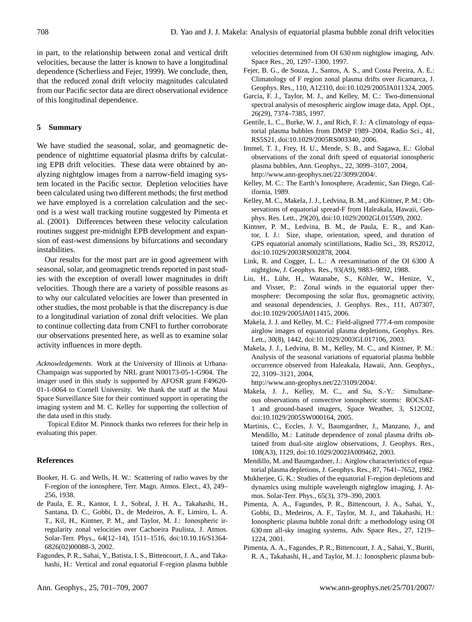in part, to the relationship between zonal and vertical drift velocities, because the latter is known to have a longitudinal dependence (Scherliess and Fejer, 1999). We conclude, then, that the reduced zonal drift velocity magnitudes calculated from our Pacific sector data are direct observational evidence of this longitudinal dependence.

# **5 Summary**

We have studied the seasonal, solar, and geomagnetic dependence of nighttime equatorial plasma drifts by calculating EPB drift velocities. These data were obtained by analyzing nightglow images from a narrow-field imaging system located in the Pacific sector. Depletion velocities have been calculated using two different methods; the first method we have employed is a correlation calculation and the second is a west wall tracking routine suggested by Pimenta et al. (2001). Differences between these velocity calculation routines suggest pre-midnight EPB development and expansion of east-west dimensions by bifurcations and secondary instabilities.

Our results for the most part are in good agreement with seasonal, solar, and geomagnetic trends reported in past studies with the exception of overall lower magnitudes in drift velocities. Though there are a variety of possible reasons as to why our calculated velocities are lower than presented in other studies, the most probable is that the discrepancy is due to a longitudinal variation of zonal drift velocities. We plan to continue collecting data from CNFI to further corroborate our observations presented here, as well as to examine solar activity influences in more depth.

*Acknowledgements.* Work at the University of Illinois at Urbana-Champaign was supported by NRL grant N00173-05-1-G904. The imager used in this study is supported by AFOSR grant F49620- 01-1-0064 to Cornell University. We thank the staff at the Maui Space Surveillance Site for their continued support in operating the imaging system and M. C. Kelley for supporting the collection of the data used in this study.

Topical Editor M. Pinnock thanks two referees for their help in evaluating this paper.

### **References**

- Booker, H. G. and Wells, H. W.: Scattering of radio waves by the F-region of the ionosphere, Terr. Magn. Atmos. Elect., 43, 249– 256, 1938.
- de Paula, E. R., Kantor, I. J., Sobral, J. H. A., Takahashi, H., Santana, D. C., Gobbi, D., de Medeiros, A. F., Limiro, L. A. T., Kil, H., Kintner, P. M., and Taylor, M. J.: Ionospheric irregularity zonal velocities over Cachoeira Paulista, J. Atmos. Solar-Terr. Phys., 64(12–14), 1511–1516, doi:10.10.16/S1364- 6826(02)00088-3, 2002.
- Fagundes, P. R., Sahai, Y., Batista, I. S., Bittencourt, J. A., and Takahashi, H.: Vertical and zonal equatorial F-region plasma bubble

velocities determined from OI 630 nm nightglow imaging, Adv. Space Res., 20, 1297–1300, 1997.

- Fejer, B. G., de Souza, J., Santos, A. S., and Costa Pereira, A. E.: Climatology of F region zonal plasma drifts over Jicamarca, J. Geophys. Res., 110, A12310, doi:10.1029/2005JA011324, 2005.
- Garcia, F. J., Taylor, M. J., and Kelley, M. C.: Two-dimensional spectral analysis of mesospheric airglow image data, Appl. Opt., 26(29), 7374–7385, 1997.
- Gentile, L. C., Burke, W. J., and Rich, F. J.: A climatology of equatorial plasma bubbles from DMSP 1989–2004, Radio Sci., 41, RS5S21, doi:10.1029/2005RS003340, 2006.
- Immel, T. J., Frey, H. U., Mende, S. B., and Sagawa, E.: Global observations of the zonal drift speed of equatorial ionospheric plasma bubbles, Ann. Geophys., 22, 3099–3107, 2004, [http://www.ann-geophys.net/22/3099/2004/.](http://www.ann-geophys.net/22/3099/2004/)
- Kelley, M. C.: The Earth's Ionosphere, Academic, San Diego, California, 1989.
- Kelley, M. C., Makela, J. J., Ledvina, B. M., and Kintner, P. M.: Observations of equatorial spread-F from Haleakala, Hawaii, Geophys. Res. Lett., 29(20), doi:10.1029/2002GL015509, 2002.
- Kintner, P. M., Ledvina, B. M., de Paula, E. R., and Kantor, I. J.: Size, shape, orientation, speed, and duration of GPS equatorial anomaly scintillations, Radio Sci., 39, RS2012, doi:10.1029/2003RS002878, 2004.
- Link, R. and Cogger, L. L.: A reexamination of the OI 6300  $\AA$ nightglow, J. Geophys. Res., 93(A9), 9883–9892, 1988.
- Liu, H., Lühr, H., Watanabe, S., Köhler, W., Henize, V., and Visser, P.: Zonal winds in the equatorial upper thermosphere: Decomposing the solar flux, geomagnetic activity, and seasonal dependencies, J. Geophys. Res., 111, A07307, doi:10.1029/2005JA011415, 2006.
- Makela, J. J. and Kelley, M. C.: Field-aligned 777.4-nm composite airglow images of equatorial plasma depletions, Geophys. Res. Lett., 30(8), 1442, doi:10.1029/2003GL017106, 2003.
- Makela, J. J., Ledvina, B. M., Kelley, M. C., and Kintner, P. M.: Analysis of the seasonal variations of equatorial plasma bubble occurrence observed from Haleakala, Hawaii, Ann. Geophys., 22, 3109–3121, 2004,

[http://www.ann-geophys.net/22/3109/2004/.](http://www.ann-geophys.net/22/3109/2004/)

- Makela, J. J., Kelley, M. C., and Su, S.-Y.: Simultaneous observations of convective ionospheric storms: ROCSAT-1 and ground-based imagers, Space Weather, 3, S12C02, doi:10.1029/2005SW000164, 2005.
- Martinis, C., Eccles, J. V., Baumgardner, J., Manzano, J., and Mendillo, M.: Latitude dependence of zonal plasma drifts obtained from dual-site airglow observations, J. Geophys. Res., 108(A3), 1129, doi:10.1029/2002JA009462, 2003.
- Mendillo, M. and Baumgardner, J.: Airglow characteristics of equatorial plasma depletions, J. Geophys. Res., 87, 7641–7652, 1982.
- Mukherjee, G. K.: Studies of the equatorial F-region depletions and dynamics using multiple wavelength nightglow imaging, J. Atmos. Solar-Terr. Phys., 65(3), 379–390, 2003.
- Pimenta, A. A., Fagundes, P. R., Bittencourt, J. A., Sahai, Y., Gobbi, D., Medeiros, A. F., Taylor, M. J., and Takahashi, H.: Ionospheric plasma bubble zonal drift: a methodology using OI 630 nm all-sky imaging systems, Adv. Space Res., 27, 1219– 1224, 2001.
- Pimenta, A. A., Fagundes, P. R., Bittencourt, J. A., Sahai, Y., Buriti, R. A., Takahashi, H., and Taylor, M. J.: Ionospheric plasma bub-